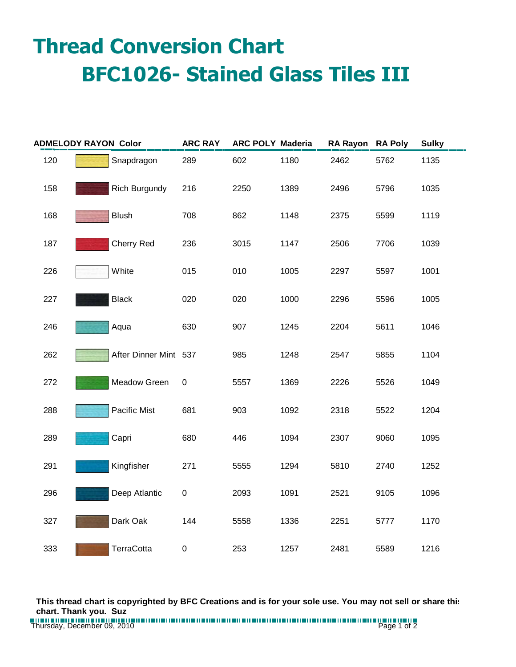## **Thread Conversion Chart BFC1026- Stained Glass Tiles III**

| <b>ADMELODY RAYON Color</b> |  |                       | <b>ARC RAY</b> | <b>ARC POLY Maderia</b> |      | RA Rayon RA Poly |      | <b>Sulky</b> |
|-----------------------------|--|-----------------------|----------------|-------------------------|------|------------------|------|--------------|
| 120                         |  | Snapdragon            | 289            | 602                     | 1180 | 2462             | 5762 | 1135         |
| 158                         |  | Rich Burgundy         | 216            | 2250                    | 1389 | 2496             | 5796 | 1035         |
| 168                         |  | <b>Blush</b>          | 708            | 862                     | 1148 | 2375             | 5599 | 1119         |
| 187                         |  | <b>Cherry Red</b>     | 236            | 3015                    | 1147 | 2506             | 7706 | 1039         |
| 226                         |  | White                 | 015            | 010                     | 1005 | 2297             | 5597 | 1001         |
| 227                         |  | <b>Black</b>          | 020            | 020                     | 1000 | 2296             | 5596 | 1005         |
| 246                         |  | Aqua                  | 630            | 907                     | 1245 | 2204             | 5611 | 1046         |
| 262                         |  | After Dinner Mint 537 |                | 985                     | 1248 | 2547             | 5855 | 1104         |
| 272                         |  | Meadow Green          | $\pmb{0}$      | 5557                    | 1369 | 2226             | 5526 | 1049         |
| 288                         |  | Pacific Mist          | 681            | 903                     | 1092 | 2318             | 5522 | 1204         |
| 289                         |  | Capri                 | 680            | 446                     | 1094 | 2307             | 9060 | 1095         |
| 291                         |  | Kingfisher            | 271            | 5555                    | 1294 | 5810             | 2740 | 1252         |
| 296                         |  | Deep Atlantic         | $\pmb{0}$      | 2093                    | 1091 | 2521             | 9105 | 1096         |
| 327                         |  | Dark Oak              | 144            | 5558                    | 1336 | 2251             | 5777 | 1170         |
| 333                         |  | TerraCotta            | $\pmb{0}$      | 253                     | 1257 | 2481             | 5589 | 1216         |

**This thread chart is copyrighted by BFC Creations and is for your sole use. You may not sell or share this chart. Thank you. Suz**